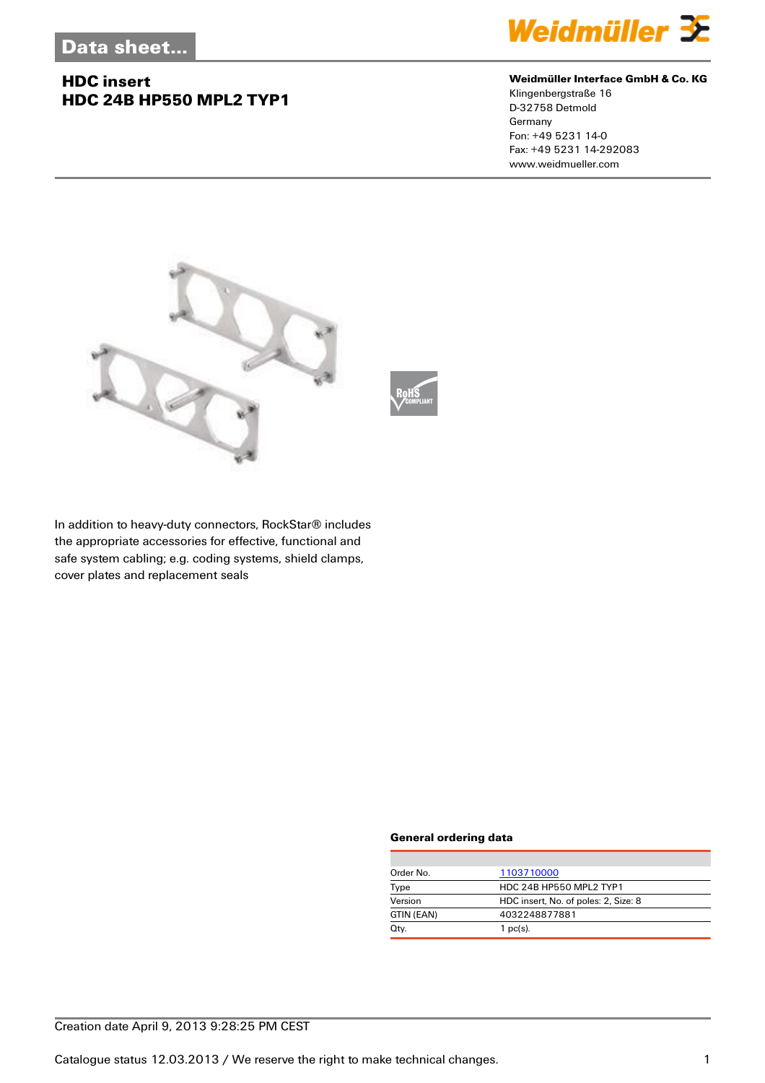## **HDC insert HDC 24B HP550 MPL2 TYP1**



#### **Weidmüller Interface GmbH & Co. KG**

Klingenbergstraße 16 D-32758 Detmold Germany Fon: +49 5231 14-0 Fax: +49 5231 14-292083 www.weidmueller.com



In addition to heavy-duty connectors, RockStar® includes the appropriate accessories for effective, functional and safe system cabling; e.g. coding systems, shield clamps, cover plates and replacement seals

#### **General ordering data**

| Order No.  | 1103710000                           |
|------------|--------------------------------------|
| Type       | HDC 24B HP550 MPL2 TYP1              |
| Version    | HDC insert, No. of poles: 2, Size: 8 |
| GTIN (EAN) | 4032248877881                        |
| Qty.       | $1$ pc(s).                           |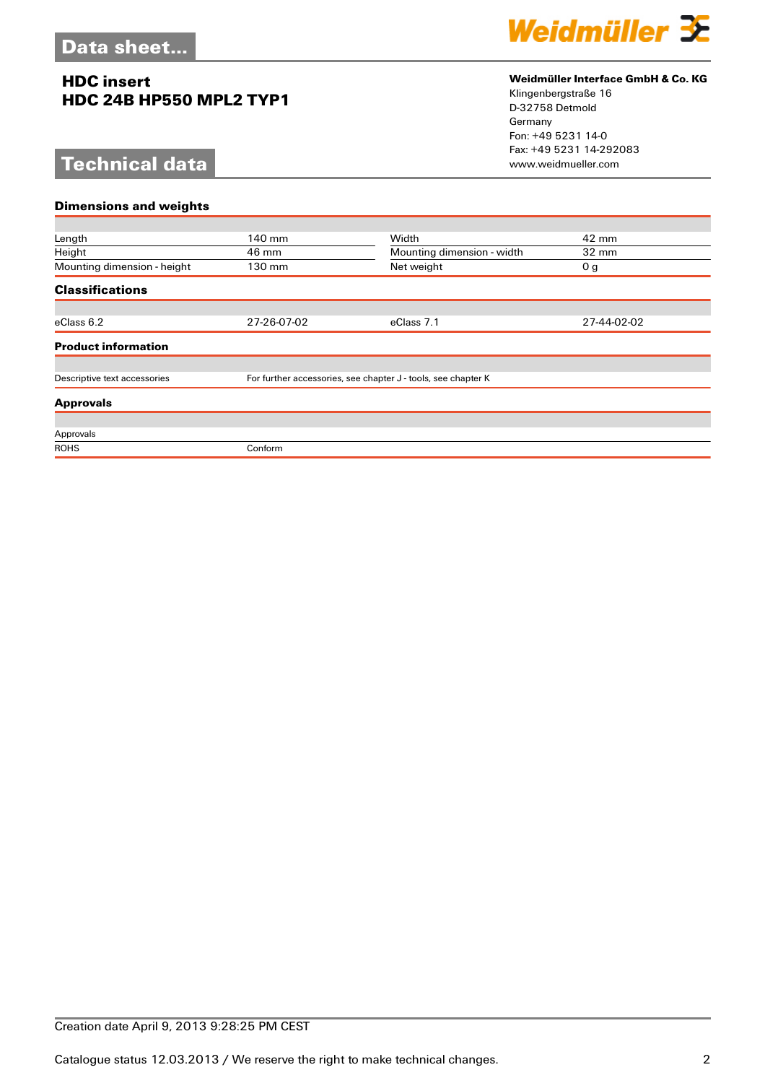## **HDC insert HDC 24B HP550 MPL2 TYP1**

# **Technical data**



### **Weidmüller Interface GmbH & Co. KG**

Klingenbergstraße 16 D-32758 Detmold Germany Fon: +49 5231 14-0 Fax: +49 5231 14-292083

| <b>Dimensions and weights</b> |                            |                                                               |  |
|-------------------------------|----------------------------|---------------------------------------------------------------|--|
|                               |                            |                                                               |  |
| 140 mm                        | Width                      | 42 mm                                                         |  |
| 46 mm                         | Mounting dimension - width | $32 \text{ mm}$                                               |  |
| 130 mm                        | Net weight                 | 0 <sub>g</sub>                                                |  |
|                               |                            |                                                               |  |
|                               |                            |                                                               |  |
| 27-26-07-02                   | eClass 7.1                 | 27-44-02-02                                                   |  |
|                               |                            |                                                               |  |
|                               |                            |                                                               |  |
|                               |                            |                                                               |  |
|                               |                            |                                                               |  |
|                               |                            |                                                               |  |
|                               |                            |                                                               |  |
| Conform                       |                            |                                                               |  |
|                               |                            | For further accessories, see chapter J - tools, see chapter K |  |